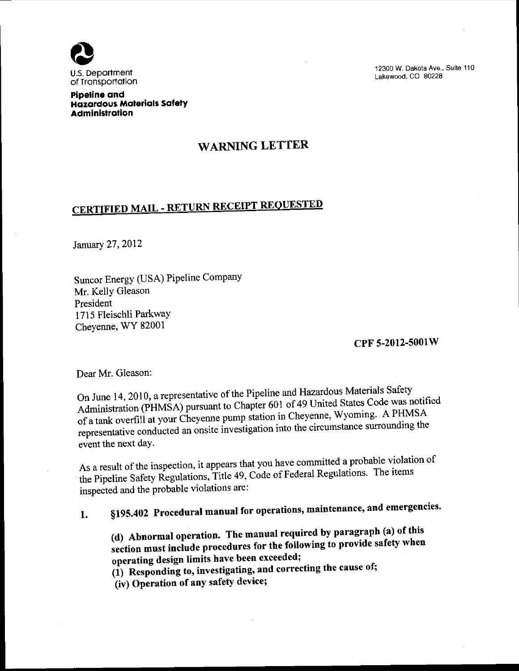

12300 W. Dakota Ave., Suite 110 Lakewood. CO 80228

Pipeline and Hazardous Materials Safety Administration

## WARNING LETTER

## CERTIFIED MAIL - RETURN RECEIPT REQUESTED

January 27, 2012

Suncor Energy (USA) Pipeline Company Mr. Kelly Gleason President 1715 Fleisch1i Parkway Cheyenne, WY 82001

CPF 5-2012-5001 W

Dear Mr. Gleason:

On June 14, 2010, a representative of the Pipeline and Hazardous Materials Safety Administration (PHMSA) pursuant to Chapter 601 of 49 United States Code was notified of a tank overfill at your Cheyenne pump station in Cheyenne, Wyoming. A PHMSA representative conducted an onsite investigation into the circumstance surrounding the event the next day.

As a result of the inspection, it appears that you have committed a probable violation of the Pipeline Safety Regulations, Title 49, Code of Federal Regulations. The items inspected and the probable violations are:

1. §195.402 Procedural manual for operations, maintenance, and emergencies.

(d) Abnormal operation. The manual required by paragraph (a) of this section must include procedures for the following to provide safety when operating design limits have been exceeded;

 $(1)$  Responding to, investigating, and correcting the cause of;

(iv) Operation of any safety device;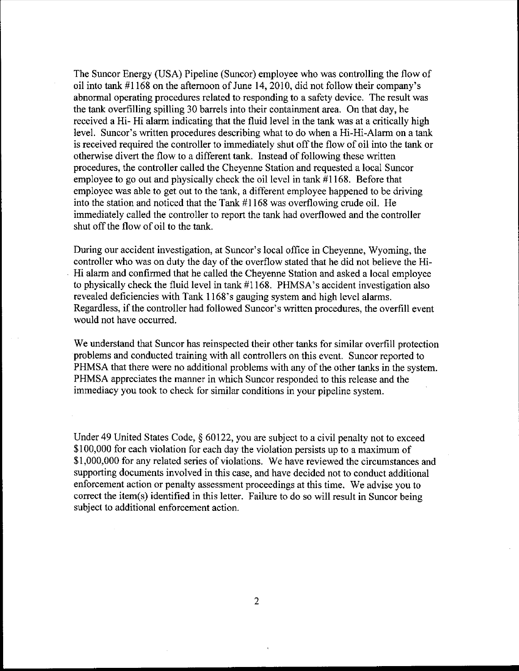The Suncor Energy (USA) Pipeline (Suncor) employee who was controlling the flow of oil into tank #1168 on the afternoon of June 14,2010, did not follow their company's abnormal operating procedures related to responding to a safety device. The result was the tank overfilling spilling 30 barrels into their containment area. On that day, he received a Hi- Hi alarm indicating that the fluid level in the tank was at a critically high level. Suncor's written procedures describing what to do when a Hi-Hi-Alarm on a tank is received required the controller to immediately shut off the flow of oil into the tank or otherwise divert the flow to a different tank. Instead of following these written procedures, the controller called the Cheyenne Station and requested a local Suncor employee to go out and physically check the oil level in tank  $#1168$ . Before that employee was able to get out to the tank, a different employee happened to be driving into the station and noticed that the Tank #1168 was overflowing crude oil. He immediately called the controller to report the tank had overflowed and the controller shut off the flow of oil to the tank.

During our accident investigation, at Suncor's local office in Cheyenne, Wyoming, the controller who was on duty the day of the overflow stated that he did not believe the Hi-Hi alarm and confirmed that he called the Cheyenne Station and asked a local employee to physically check the fluid level in tank #1168. PHMSA's accident investigation also revealed deficiencies with Tank 1168's gauging system and high level alarms. Regardless, if the controller had followed Suncor's written procedures, the overfill event would not have occurred.

We understand that Suncor has reinspected their other tanks for similar overfill protection problems and conducted training with all controllers on this event. Suncor reported to PHMSA that there were no additional problems with any of the other tanks in the system. PHMSA appreciates the manner in which Suncor responded to this release and the immediacy you took to check for similar conditions in your pipeline system.

Under 49 United States Code, § 60122, you are subject to a civil penalty not to exceed \$100,000 for each violation for each day the violation persists up to a maximum of \$1,000,000 for any related series of violations. We have reviewed the circumstances and supporting documents involved in this case, and have decided not to conduct additional enforcement action or penalty assessment proceedings at this time. We advise you to correct the item(s) identified in this letter. Failure to do so will result in Suncor being subject to additional enforcement action.

2